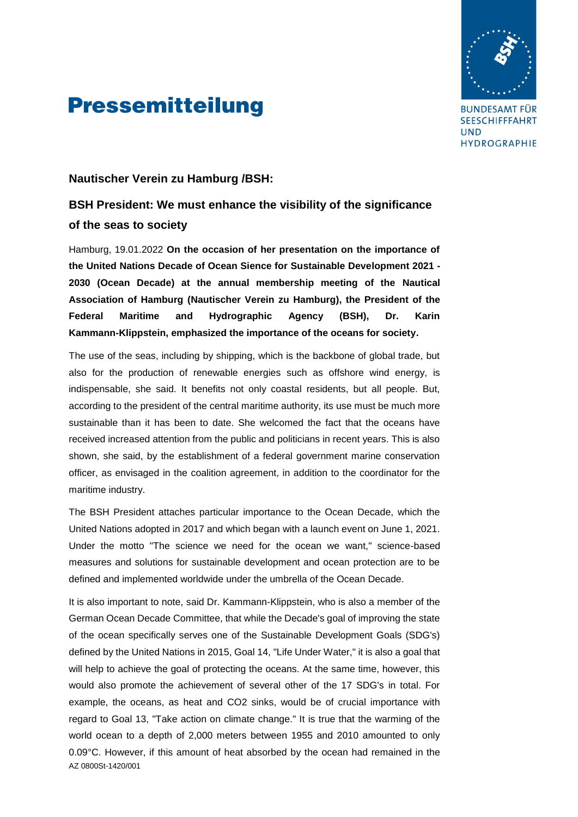

**BUNDESAMT FÜR SEESCHIFFFAHRT UND** HYDROGRAPHIE

## **Pressemitteilung**

#### **Nautischer Verein zu Hamburg /BSH:**

#### **BSH President: We must enhance the visibility of the significance of the seas to society**

Hamburg, 19.01.2022 **On the occasion of her presentation on the importance of the United Nations Decade of Ocean Sience for Sustainable Development 2021 - 2030 (Ocean Decade) at the annual membership meeting of the Nautical Association of Hamburg (Nautischer Verein zu Hamburg), the President of the Federal Maritime and Hydrographic Agency (BSH), Dr. Karin Kammann-Klippstein, emphasized the importance of the oceans for society.**

The use of the seas, including by shipping, which is the backbone of global trade, but also for the production of renewable energies such as offshore wind energy, is indispensable, she said. It benefits not only coastal residents, but all people. But, according to the president of the central maritime authority, its use must be much more sustainable than it has been to date. She welcomed the fact that the oceans have received increased attention from the public and politicians in recent years. This is also shown, she said, by the establishment of a federal government marine conservation officer, as envisaged in the coalition agreement, in addition to the coordinator for the maritime industry.

The BSH President attaches particular importance to the Ocean Decade, which the United Nations adopted in 2017 and which began with a launch event on June 1, 2021. Under the motto "The science we need for the ocean we want," science-based measures and solutions for sustainable development and ocean protection are to be defined and implemented worldwide under the umbrella of the Ocean Decade.

AZ 0800St-1420/001 It is also important to note, said Dr. Kammann-Klippstein, who is also a member of the German Ocean Decade Committee, that while the Decade's goal of improving the state of the ocean specifically serves one of the Sustainable Development Goals (SDG's) defined by the United Nations in 2015, Goal 14, "Life Under Water," it is also a goal that will help to achieve the goal of protecting the oceans. At the same time, however, this would also promote the achievement of several other of the 17 SDG's in total. For example, the oceans, as heat and CO2 sinks, would be of crucial importance with regard to Goal 13, "Take action on climate change." It is true that the warming of the world ocean to a depth of 2,000 meters between 1955 and 2010 amounted to only 0.09°C. However, if this amount of heat absorbed by the ocean had remained in the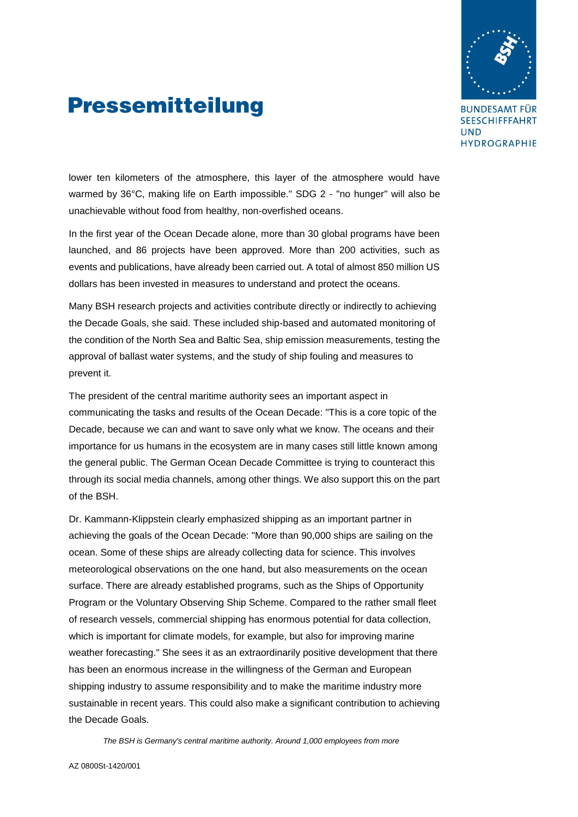

## **Pressemitteilung**

**BUNDESAMT FÜR SEESCHIFFFAHRT UND** HYDROGRAPHIE

lower ten kilometers of the atmosphere, this layer of the atmosphere would have warmed by 36°C, making life on Earth impossible." SDG 2 - "no hunger" will also be unachievable without food from healthy, non-overfished oceans.

In the first year of the Ocean Decade alone, more than 30 global programs have been launched, and 86 projects have been approved. More than 200 activities, such as events and publications, have already been carried out. A total of almost 850 million US dollars has been invested in measures to understand and protect the oceans.

Many BSH research projects and activities contribute directly or indirectly to achieving the Decade Goals, she said. These included ship-based and automated monitoring of the condition of the North Sea and Baltic Sea, ship emission measurements, testing the approval of ballast water systems, and the study of ship fouling and measures to prevent it.

The president of the central maritime authority sees an important aspect in communicating the tasks and results of the Ocean Decade: "This is a core topic of the Decade, because we can and want to save only what we know. The oceans and their importance for us humans in the ecosystem are in many cases still little known among the general public. The German Ocean Decade Committee is trying to counteract this through its social media channels, among other things. We also support this on the part of the BSH.

Dr. Kammann-Klippstein clearly emphasized shipping as an important partner in achieving the goals of the Ocean Decade: "More than 90,000 ships are sailing on the ocean. Some of these ships are already collecting data for science. This involves meteorological observations on the one hand, but also measurements on the ocean surface. There are already established programs, such as the Ships of Opportunity Program or the Voluntary Observing Ship Scheme. Compared to the rather small fleet of research vessels, commercial shipping has enormous potential for data collection, which is important for climate models, for example, but also for improving marine weather forecasting." She sees it as an extraordinarily positive development that there has been an enormous increase in the willingness of the German and European shipping industry to assume responsibility and to make the maritime industry more sustainable in recent years. This could also make a significant contribution to achieving the Decade Goals.

*The BSH is Germany's central maritime authority. Around 1,000 employees from more*